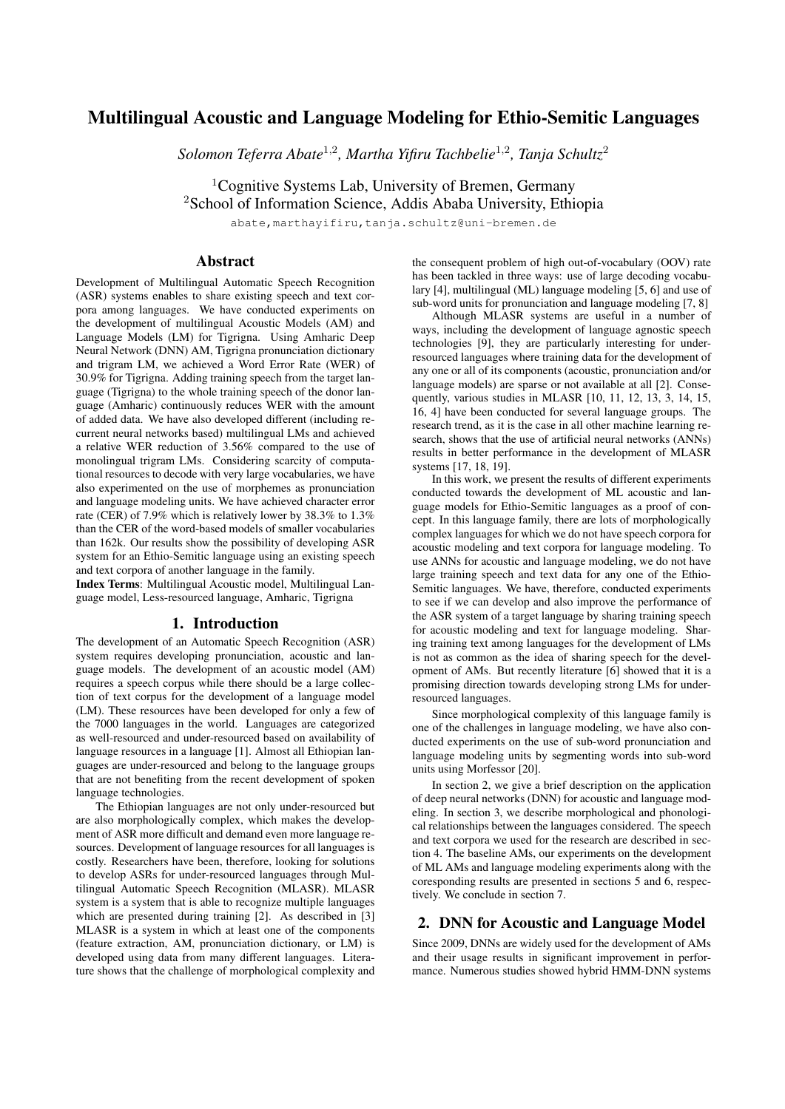# Multilingual Acoustic and Language Modeling for Ethio-Semitic Languages

*Solomon Teferra Abate*<sup>1</sup>,<sup>2</sup> *, Martha Yifiru Tachbelie*<sup>1</sup>,<sup>2</sup> *, Tanja Schultz*<sup>2</sup>

<sup>1</sup>Cognitive Systems Lab, University of Bremen, Germany

<sup>2</sup>School of Information Science, Addis Ababa University, Ethiopia

abate,marthayifiru,tanja.schultz@uni-bremen.de

## Abstract

Development of Multilingual Automatic Speech Recognition (ASR) systems enables to share existing speech and text corpora among languages. We have conducted experiments on the development of multilingual Acoustic Models (AM) and Language Models (LM) for Tigrigna. Using Amharic Deep Neural Network (DNN) AM, Tigrigna pronunciation dictionary and trigram LM, we achieved a Word Error Rate (WER) of 30.9% for Tigrigna. Adding training speech from the target language (Tigrigna) to the whole training speech of the donor language (Amharic) continuously reduces WER with the amount of added data. We have also developed different (including recurrent neural networks based) multilingual LMs and achieved a relative WER reduction of 3.56% compared to the use of monolingual trigram LMs. Considering scarcity of computational resources to decode with very large vocabularies, we have also experimented on the use of morphemes as pronunciation and language modeling units. We have achieved character error rate (CER) of 7.9% which is relatively lower by 38.3% to 1.3% than the CER of the word-based models of smaller vocabularies than 162k. Our results show the possibility of developing ASR system for an Ethio-Semitic language using an existing speech and text corpora of another language in the family.

Index Terms: Multilingual Acoustic model, Multilingual Language model, Less-resourced language, Amharic, Tigrigna

#### 1. Introduction

The development of an Automatic Speech Recognition (ASR) system requires developing pronunciation, acoustic and language models. The development of an acoustic model (AM) requires a speech corpus while there should be a large collection of text corpus for the development of a language model (LM). These resources have been developed for only a few of the 7000 languages in the world. Languages are categorized as well-resourced and under-resourced based on availability of language resources in a language [1]. Almost all Ethiopian languages are under-resourced and belong to the language groups that are not benefiting from the recent development of spoken language technologies.

The Ethiopian languages are not only under-resourced but are also morphologically complex, which makes the development of ASR more difficult and demand even more language resources. Development of language resources for all languages is costly. Researchers have been, therefore, looking for solutions to develop ASRs for under-resourced languages through Multilingual Automatic Speech Recognition (MLASR). MLASR system is a system that is able to recognize multiple languages which are presented during training [2]. As described in [3] MLASR is a system in which at least one of the components (feature extraction, AM, pronunciation dictionary, or LM) is developed using data from many different languages. Literature shows that the challenge of morphological complexity and

the consequent problem of high out-of-vocabulary (OOV) rate has been tackled in three ways: use of large decoding vocabulary [4], multilingual (ML) language modeling [5, 6] and use of sub-word units for pronunciation and language modeling [7, 8]

Although MLASR systems are useful in a number of ways, including the development of language agnostic speech technologies [9], they are particularly interesting for underresourced languages where training data for the development of any one or all of its components (acoustic, pronunciation and/or language models) are sparse or not available at all [2]. Consequently, various studies in MLASR [10, 11, 12, 13, 3, 14, 15, 16, 4] have been conducted for several language groups. The research trend, as it is the case in all other machine learning research, shows that the use of artificial neural networks (ANNs) results in better performance in the development of MLASR systems [17, 18, 19].

In this work, we present the results of different experiments conducted towards the development of ML acoustic and language models for Ethio-Semitic languages as a proof of concept. In this language family, there are lots of morphologically complex languages for which we do not have speech corpora for acoustic modeling and text corpora for language modeling. To use ANNs for acoustic and language modeling, we do not have large training speech and text data for any one of the Ethio-Semitic languages. We have, therefore, conducted experiments to see if we can develop and also improve the performance of the ASR system of a target language by sharing training speech for acoustic modeling and text for language modeling. Sharing training text among languages for the development of LMs is not as common as the idea of sharing speech for the development of AMs. But recently literature [6] showed that it is a promising direction towards developing strong LMs for underresourced languages.

Since morphological complexity of this language family is one of the challenges in language modeling, we have also conducted experiments on the use of sub-word pronunciation and language modeling units by segmenting words into sub-word units using Morfessor [20].

In section 2, we give a brief description on the application of deep neural networks (DNN) for acoustic and language modeling. In section 3, we describe morphological and phonological relationships between the languages considered. The speech and text corpora we used for the research are described in section 4. The baseline AMs, our experiments on the development of ML AMs and language modeling experiments along with the coresponding results are presented in sections 5 and 6, respectively. We conclude in section 7.

## 2. DNN for Acoustic and Language Model

Since 2009, DNNs are widely used for the development of AMs and their usage results in significant improvement in performance. Numerous studies showed hybrid HMM-DNN systems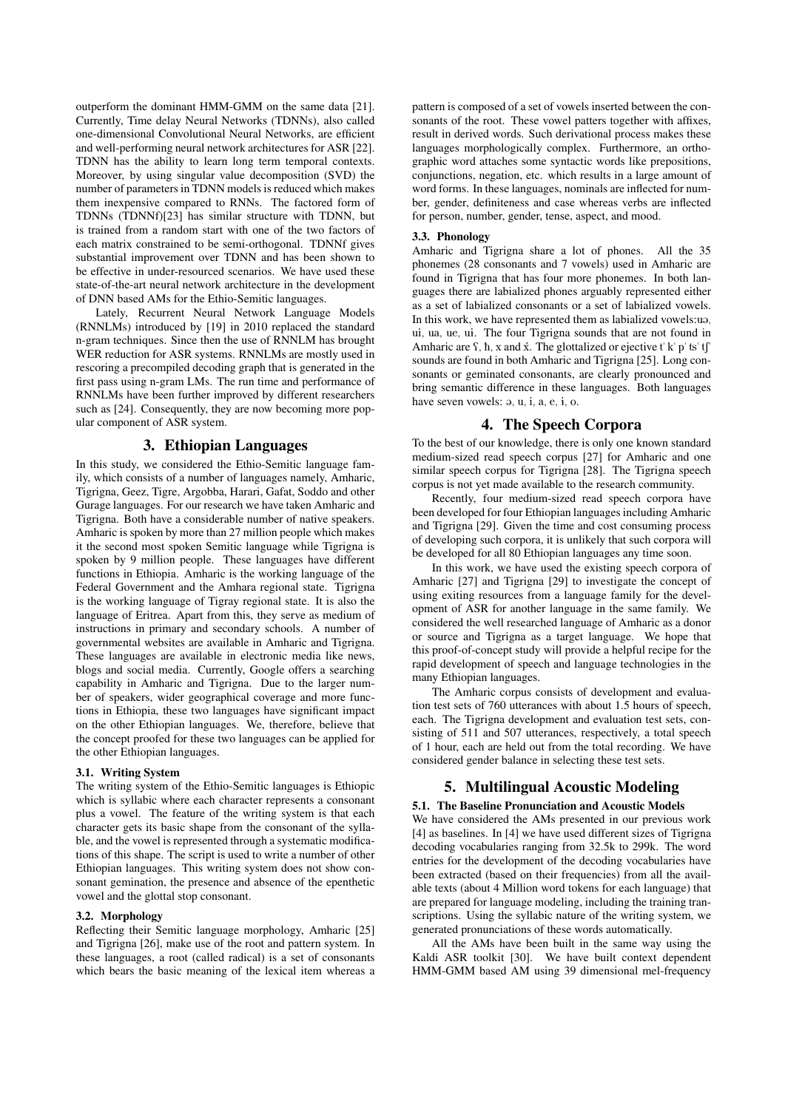outperform the dominant HMM-GMM on the same data [21]. Currently, Time delay Neural Networks (TDNNs), also called one-dimensional Convolutional Neural Networks, are efficient and well-performing neural network architectures for ASR [22]. TDNN has the ability to learn long term temporal contexts. Moreover, by using singular value decomposition (SVD) the number of parameters in TDNN models is reduced which makes them inexpensive compared to RNNs. The factored form of TDNNs (TDNNf)[23] has similar structure with TDNN, but is trained from a random start with one of the two factors of each matrix constrained to be semi-orthogonal. TDNNf gives substantial improvement over TDNN and has been shown to be effective in under-resourced scenarios. We have used these state-of-the-art neural network architecture in the development of DNN based AMs for the Ethio-Semitic languages.

Lately, Recurrent Neural Network Language Models (RNNLMs) introduced by [19] in 2010 replaced the standard n-gram techniques. Since then the use of RNNLM has brought WER reduction for ASR systems. RNNLMs are mostly used in rescoring a precompiled decoding graph that is generated in the first pass using n-gram LMs. The run time and performance of RNNLMs have been further improved by different researchers such as [24]. Consequently, they are now becoming more popular component of ASR system.

# 3. Ethiopian Languages

In this study, we considered the Ethio-Semitic language family, which consists of a number of languages namely, Amharic, Tigrigna, Geez, Tigre, Argobba, Harari, Gafat, Soddo and other Gurage languages. For our research we have taken Amharic and Tigrigna. Both have a considerable number of native speakers. Amharic is spoken by more than 27 million people which makes it the second most spoken Semitic language while Tigrigna is spoken by 9 million people. These languages have different functions in Ethiopia. Amharic is the working language of the Federal Government and the Amhara regional state. Tigrigna is the working language of Tigray regional state. It is also the language of Eritrea. Apart from this, they serve as medium of instructions in primary and secondary schools. A number of governmental websites are available in Amharic and Tigrigna. These languages are available in electronic media like news, blogs and social media. Currently, Google offers a searching capability in Amharic and Tigrigna. Due to the larger number of speakers, wider geographical coverage and more functions in Ethiopia, these two languages have significant impact on the other Ethiopian languages. We, therefore, believe that the concept proofed for these two languages can be applied for the other Ethiopian languages.

#### 3.1. Writing System

The writing system of the Ethio-Semitic languages is Ethiopic which is syllabic where each character represents a consonant plus a vowel. The feature of the writing system is that each character gets its basic shape from the consonant of the syllable, and the vowel is represented through a systematic modifications of this shape. The script is used to write a number of other Ethiopian languages. This writing system does not show consonant gemination, the presence and absence of the epenthetic vowel and the glottal stop consonant.

#### 3.2. Morphology

Reflecting their Semitic language morphology, Amharic [25] and Tigrigna [26], make use of the root and pattern system. In these languages, a root (called radical) is a set of consonants which bears the basic meaning of the lexical item whereas a pattern is composed of a set of vowels inserted between the consonants of the root. These vowel patters together with affixes, result in derived words. Such derivational process makes these languages morphologically complex. Furthermore, an orthographic word attaches some syntactic words like prepositions, conjunctions, negation, etc. which results in a large amount of word forms. In these languages, nominals are inflected for number, gender, definiteness and case whereas verbs are inflected for person, number, gender, tense, aspect, and mood.

#### 3.3. Phonology

Amharic and Tigrigna share a lot of phones. All the 35 phonemes (28 consonants and 7 vowels) used in Amharic are found in Tigrigna that has four more phonemes. In both languages there are labialized phones arguably represented either as a set of labialized consonants or a set of labialized vowels. In this work, we have represented them as labialized vowels:ua, ui, ua, ue, ui. The four Tigrigna sounds that are not found in Amharic are  $\hat{S}$ ,  $\hat{h}$ , x and  $\hat{x}$ . The glottalized or ejective t' k' p' ts' t $\int$ " sounds are found in both Amharic and Tigrigna [25]. Long consonants or geminated consonants, are clearly pronounced and bring semantic difference in these languages. Both languages have seven vowels:  $\varphi$ ,  $u$ ,  $i$ ,  $a$ ,  $e$ ,  $i$ ,  $o$ .

# 4. The Speech Corpora

To the best of our knowledge, there is only one known standard medium-sized read speech corpus [27] for Amharic and one similar speech corpus for Tigrigna [28]. The Tigrigna speech corpus is not yet made available to the research community.

Recently, four medium-sized read speech corpora have been developed for four Ethiopian languages including Amharic and Tigrigna [29]. Given the time and cost consuming process of developing such corpora, it is unlikely that such corpora will be developed for all 80 Ethiopian languages any time soon.

In this work, we have used the existing speech corpora of Amharic [27] and Tigrigna [29] to investigate the concept of using exiting resources from a language family for the development of ASR for another language in the same family. We considered the well researched language of Amharic as a donor or source and Tigrigna as a target language. We hope that this proof-of-concept study will provide a helpful recipe for the rapid development of speech and language technologies in the many Ethiopian languages.

The Amharic corpus consists of development and evaluation test sets of 760 utterances with about 1.5 hours of speech, each. The Tigrigna development and evaluation test sets, consisting of 511 and 507 utterances, respectively, a total speech of 1 hour, each are held out from the total recording. We have considered gender balance in selecting these test sets.

# 5. Multilingual Acoustic Modeling

#### 5.1. The Baseline Pronunciation and Acoustic Models

We have considered the AMs presented in our previous work [4] as baselines. In [4] we have used different sizes of Tigrigna decoding vocabularies ranging from 32.5k to 299k. The word entries for the development of the decoding vocabularies have been extracted (based on their frequencies) from all the available texts (about 4 Million word tokens for each language) that are prepared for language modeling, including the training transcriptions. Using the syllabic nature of the writing system, we generated pronunciations of these words automatically.

All the AMs have been built in the same way using the Kaldi ASR toolkit [30]. We have built context dependent HMM-GMM based AM using 39 dimensional mel-frequency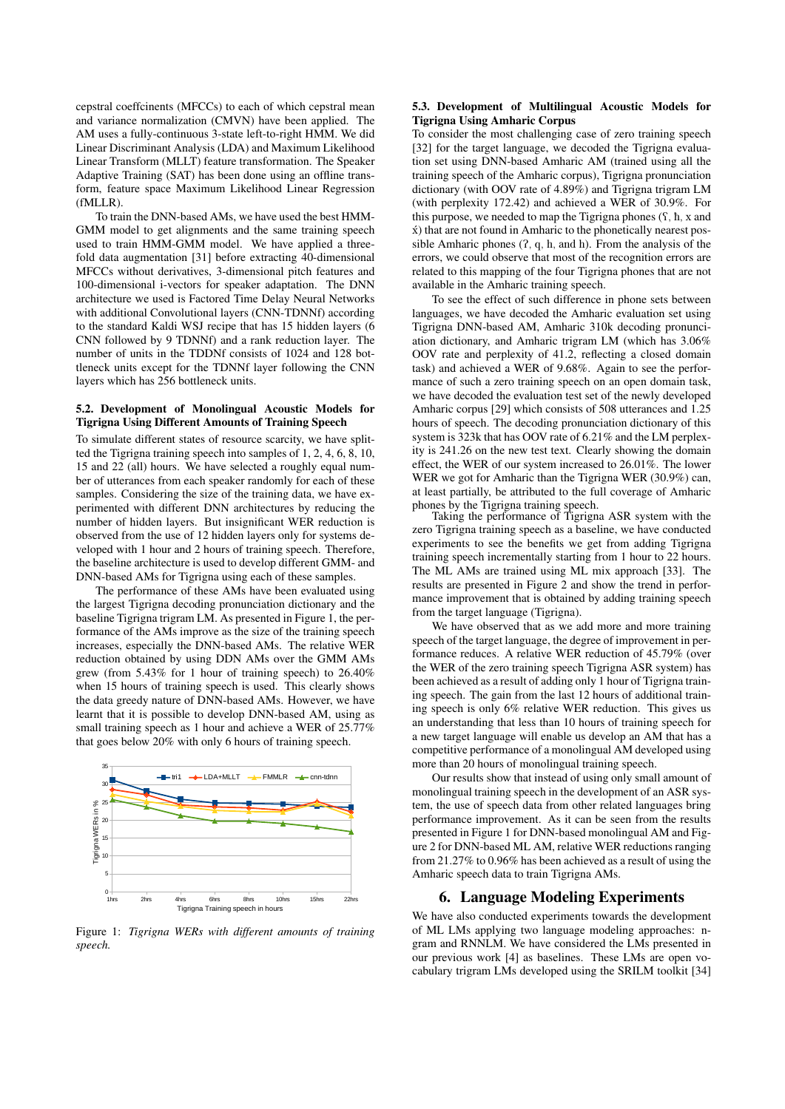cepstral coeffcinents (MFCCs) to each of which cepstral mean and variance normalization (CMVN) have been applied. The AM uses a fully-continuous 3-state left-to-right HMM. We did Linear Discriminant Analysis (LDA) and Maximum Likelihood Linear Transform (MLLT) feature transformation. The Speaker Adaptive Training (SAT) has been done using an offline transform, feature space Maximum Likelihood Linear Regression (fMLLR).

To train the DNN-based AMs, we have used the best HMM-GMM model to get alignments and the same training speech used to train HMM-GMM model. We have applied a threefold data augmentation [31] before extracting 40-dimensional MFCCs without derivatives, 3-dimensional pitch features and 100-dimensional i-vectors for speaker adaptation. The DNN architecture we used is Factored Time Delay Neural Networks with additional Convolutional layers (CNN-TDNNf) according to the standard Kaldi WSJ recipe that has 15 hidden layers (6 CNN followed by 9 TDNNf) and a rank reduction layer. The number of units in the TDDNf consists of 1024 and 128 bottleneck units except for the TDNNf layer following the CNN layers which has 256 bottleneck units.

#### 5.2. Development of Monolingual Acoustic Models for Tigrigna Using Different Amounts of Training Speech

To simulate different states of resource scarcity, we have splitted the Tigrigna training speech into samples of 1, 2, 4, 6, 8, 10, 15 and 22 (all) hours. We have selected a roughly equal number of utterances from each speaker randomly for each of these samples. Considering the size of the training data, we have experimented with different DNN architectures by reducing the number of hidden layers. But insignificant WER reduction is observed from the use of 12 hidden layers only for systems developed with 1 hour and 2 hours of training speech. Therefore, the baseline architecture is used to develop different GMM- and DNN-based AMs for Tigrigna using each of these samples.

The performance of these AMs have been evaluated using the largest Tigrigna decoding pronunciation dictionary and the baseline Tigrigna trigram LM. As presented in Figure 1, the performance of the AMs improve as the size of the training speech increases, especially the DNN-based AMs. The relative WER reduction obtained by using DDN AMs over the GMM AMs grew (from 5.43% for 1 hour of training speech) to 26.40% when 15 hours of training speech is used. This clearly shows the data greedy nature of DNN-based AMs. However, we have learnt that it is possible to develop DNN-based AM, using as small training speech as 1 hour and achieve a WER of 25.77% that goes below 20% with only 6 hours of training speech.



Figure 1: *Tigrigna WERs with different amounts of training speech.*

#### 5.3. Development of Multilingual Acoustic Models for Tigrigna Using Amharic Corpus

To consider the most challenging case of zero training speech [32] for the target language, we decoded the Tigrigna evaluation set using DNN-based Amharic AM (trained using all the training speech of the Amharic corpus), Tigrigna pronunciation dictionary (with OOV rate of 4.89%) and Tigrigna trigram LM (with perplexity 172.42) and achieved a WER of 30.9%. For this purpose, we needed to map the Tigrigna phones  $(\hat{y}, \hat{h}, x)$  and  $x$ ) that are not found in Amharic to the phonetically nearest possible Amharic phones  $(7, q, h, and h)$ . From the analysis of the errors, we could observe that most of the recognition errors are related to this mapping of the four Tigrigna phones that are not available in the Amharic training speech.

To see the effect of such difference in phone sets between languages, we have decoded the Amharic evaluation set using Tigrigna DNN-based AM, Amharic 310k decoding pronunciation dictionary, and Amharic trigram LM (which has 3.06% OOV rate and perplexity of 41.2, reflecting a closed domain task) and achieved a WER of 9.68%. Again to see the performance of such a zero training speech on an open domain task, we have decoded the evaluation test set of the newly developed Amharic corpus [29] which consists of 508 utterances and 1.25 hours of speech. The decoding pronunciation dictionary of this system is 323k that has OOV rate of 6.21% and the LM perplexity is 241.26 on the new test text. Clearly showing the domain effect, the WER of our system increased to 26.01%. The lower WER we got for Amharic than the Tigrigna WER (30.9%) can, at least partially, be attributed to the full coverage of Amharic phones by the Tigrigna training speech.

Taking the performance of Tigrigna ASR system with the zero Tigrigna training speech as a baseline, we have conducted experiments to see the benefits we get from adding Tigrigna training speech incrementally starting from 1 hour to 22 hours. The ML AMs are trained using ML mix approach [33]. The results are presented in Figure 2 and show the trend in performance improvement that is obtained by adding training speech from the target language (Tigrigna).

We have observed that as we add more and more training speech of the target language, the degree of improvement in performance reduces. A relative WER reduction of 45.79% (over the WER of the zero training speech Tigrigna ASR system) has been achieved as a result of adding only 1 hour of Tigrigna training speech. The gain from the last 12 hours of additional training speech is only 6% relative WER reduction. This gives us an understanding that less than 10 hours of training speech for a new target language will enable us develop an AM that has a competitive performance of a monolingual AM developed using more than 20 hours of monolingual training speech.

Our results show that instead of using only small amount of monolingual training speech in the development of an ASR system, the use of speech data from other related languages bring performance improvement. As it can be seen from the results presented in Figure 1 for DNN-based monolingual AM and Figure 2 for DNN-based ML AM, relative WER reductions ranging from 21.27% to 0.96% has been achieved as a result of using the Amharic speech data to train Tigrigna AMs.

#### 6. Language Modeling Experiments

We have also conducted experiments towards the development of ML LMs applying two language modeling approaches: ngram and RNNLM. We have considered the LMs presented in our previous work [4] as baselines. These LMs are open vocabulary trigram LMs developed using the SRILM toolkit [34]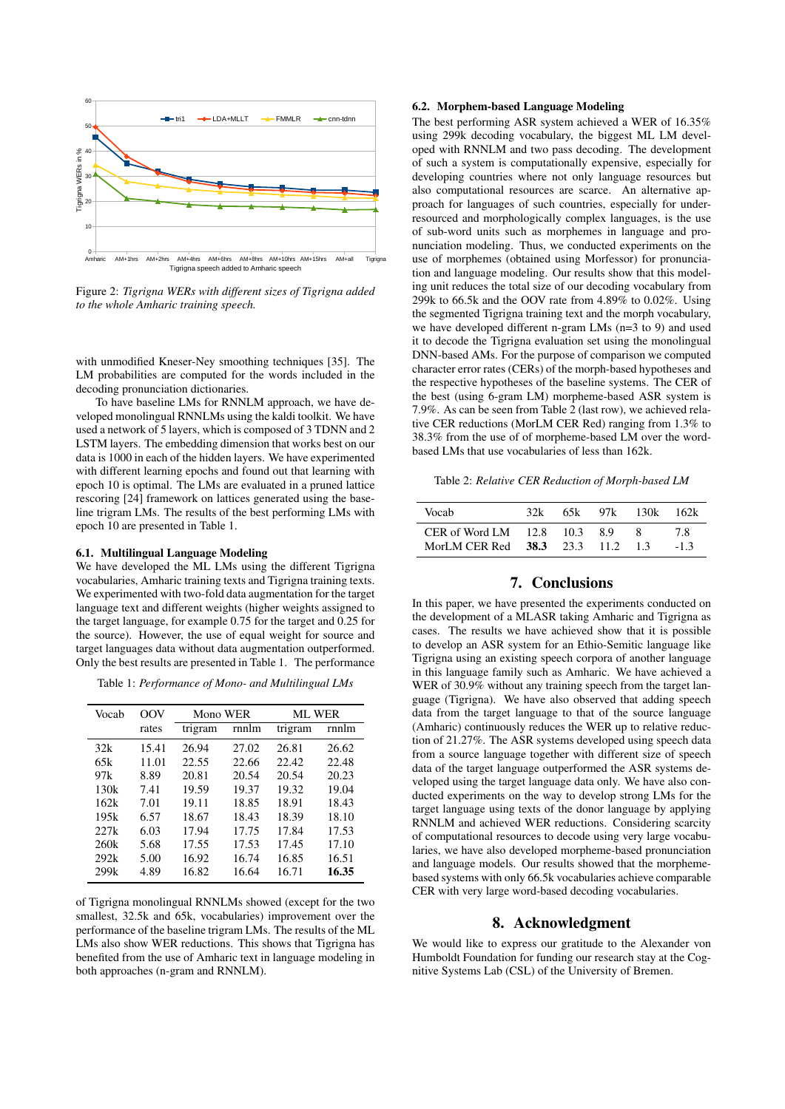

Figure 2: *Tigrigna WERs with different sizes of Tigrigna added to the whole Amharic training speech.*

with unmodified Kneser-Ney smoothing techniques [35]. The LM probabilities are computed for the words included in the decoding pronunciation dictionaries.

To have baseline LMs for RNNLM approach, we have developed monolingual RNNLMs using the kaldi toolkit. We have used a network of 5 layers, which is composed of 3 TDNN and 2 LSTM layers. The embedding dimension that works best on our data is 1000 in each of the hidden layers. We have experimented with different learning epochs and found out that learning with epoch 10 is optimal. The LMs are evaluated in a pruned lattice rescoring [24] framework on lattices generated using the baseline trigram LMs. The results of the best performing LMs with epoch 10 are presented in Table 1.

#### 6.1. Multilingual Language Modeling

We have developed the ML LMs using the different Tigrigna vocabularies, Amharic training texts and Tigrigna training texts. We experimented with two-fold data augmentation for the target language text and different weights (higher weights assigned to the target language, for example 0.75 for the target and 0.25 for the source). However, the use of equal weight for source and target languages data without data augmentation outperformed. Only the best results are presented in Table 1. The performance

Table 1: *Performance of Mono- and Multilingual LMs*

| Vocab | 00V   | Mono WER |       | <b>ML WER</b> |       |
|-------|-------|----------|-------|---------------|-------|
|       | rates | trigram  | rnnlm | trigram       | rnnlm |
| 32k   | 15.41 | 26.94    | 27.02 | 26.81         | 26.62 |
| 65k   | 11.01 | 22.55    | 22.66 | 22.42         | 22.48 |
| 97k   | 8.89  | 20.81    | 20.54 | 20.54         | 20.23 |
| 130k  | 7.41  | 19.59    | 19.37 | 19.32         | 19.04 |
| 162k  | 7.01  | 19.11    | 18.85 | 18.91         | 18.43 |
| 195k  | 6.57  | 18.67    | 18.43 | 18.39         | 18.10 |
| 227k  | 6.03  | 17.94    | 17.75 | 17.84         | 17.53 |
| 260k  | 5.68  | 17.55    | 17.53 | 17.45         | 17.10 |
| 292k  | 5.00  | 16.92    | 16.74 | 16.85         | 16.51 |
| 299k  | 4.89  | 16.82    | 16.64 | 16.71         | 16.35 |

of Tigrigna monolingual RNNLMs showed (except for the two smallest, 32.5k and 65k, vocabularies) improvement over the performance of the baseline trigram LMs. The results of the ML LMs also show WER reductions. This shows that Tigrigna has benefited from the use of Amharic text in language modeling in both approaches (n-gram and RNNLM).

#### 6.2. Morphem-based Language Modeling

The best performing ASR system achieved a WER of 16.35% using 299k decoding vocabulary, the biggest ML LM developed with RNNLM and two pass decoding. The development of such a system is computationally expensive, especially for developing countries where not only language resources but also computational resources are scarce. An alternative approach for languages of such countries, especially for underresourced and morphologically complex languages, is the use of sub-word units such as morphemes in language and pronunciation modeling. Thus, we conducted experiments on the use of morphemes (obtained using Morfessor) for pronunciation and language modeling. Our results show that this modeling unit reduces the total size of our decoding vocabulary from 299k to 66.5k and the OOV rate from 4.89% to 0.02%. Using the segmented Tigrigna training text and the morph vocabulary, we have developed different n-gram LMs (n=3 to 9) and used it to decode the Tigrigna evaluation set using the monolingual DNN-based AMs. For the purpose of comparison we computed character error rates (CERs) of the morph-based hypotheses and the respective hypotheses of the baseline systems. The CER of the best (using 6-gram LM) morpheme-based ASR system is 7.9%. As can be seen from Table 2 (last row), we achieved relative CER reductions (MorLM CER Red) ranging from 1.3% to 38.3% from the use of of morpheme-based LM over the wordbased LMs that use vocabularies of less than 162k.

Table 2: *Relative CER Reduction of Morph-based LM*

| Vocab                                                 | 32k | 65k | 97k         | 130k     | 162k          |
|-------------------------------------------------------|-----|-----|-------------|----------|---------------|
| CER of Word LM $12.8$ 10.3<br>MorLM CER Red 38.3 23.3 |     |     | -89<br>11.2 | x<br>1.3 | 7.8<br>$-1.3$ |

#### 7. Conclusions

In this paper, we have presented the experiments conducted on the development of a MLASR taking Amharic and Tigrigna as cases. The results we have achieved show that it is possible to develop an ASR system for an Ethio-Semitic language like Tigrigna using an existing speech corpora of another language in this language family such as Amharic. We have achieved a WER of 30.9% without any training speech from the target language (Tigrigna). We have also observed that adding speech data from the target language to that of the source language (Amharic) continuously reduces the WER up to relative reduction of 21.27%. The ASR systems developed using speech data from a source language together with different size of speech data of the target language outperformed the ASR systems developed using the target language data only. We have also conducted experiments on the way to develop strong LMs for the target language using texts of the donor language by applying RNNLM and achieved WER reductions. Considering scarcity of computational resources to decode using very large vocabularies, we have also developed morpheme-based pronunciation and language models. Our results showed that the morphemebased systems with only 66.5k vocabularies achieve comparable CER with very large word-based decoding vocabularies.

## 8. Acknowledgment

We would like to express our gratitude to the Alexander von Humboldt Foundation for funding our research stay at the Cognitive Systems Lab (CSL) of the University of Bremen.